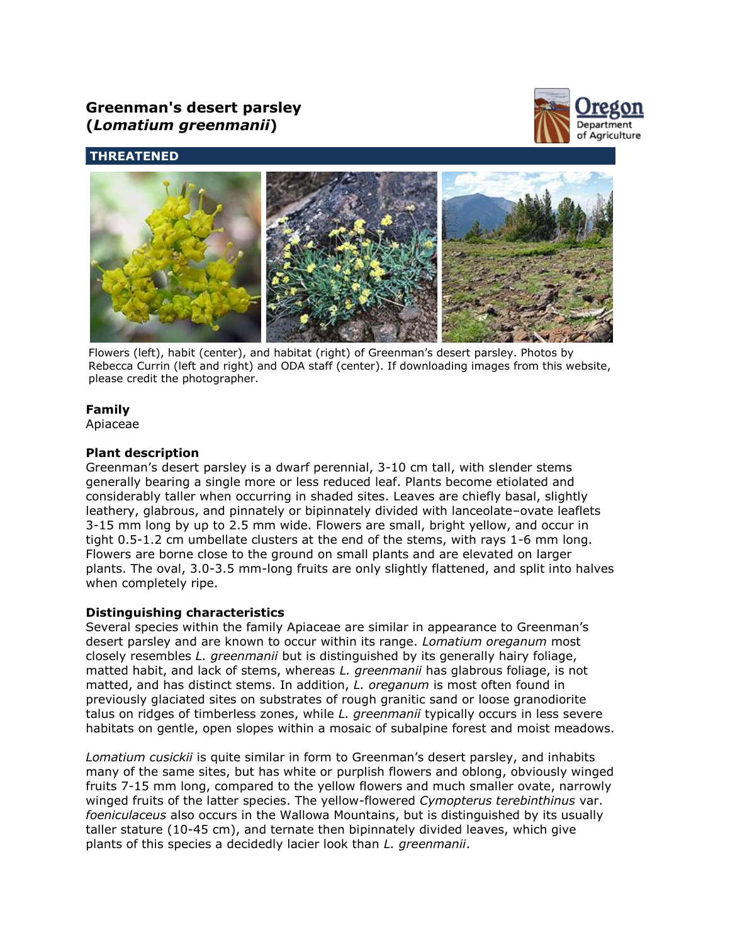# **Greenman's desert parsley (***Lomatium greenmanii***)**



## **THREATENED**



Flowers (left), habit (center), and habitat (right) of Greenman's desert parsley. Photos by Rebecca Currin (left and right) and ODA staff (center). If downloading images from this website, please credit the photographer.

## **Family**

Apiaceae

## **Plant description**

Greenman's desert parsley is a dwarf perennial, 3-10 cm tall, with slender stems generally bearing a single more or less reduced leaf. Plants become etiolated and considerably taller when occurring in shaded sites. Leaves are chiefly basal, slightly leathery, glabrous, and pinnately or bipinnately divided with lanceolate–ovate leaflets 3-15 mm long by up to 2.5 mm wide. Flowers are small, bright yellow, and occur in tight 0.5-1.2 cm umbellate clusters at the end of the stems, with rays 1-6 mm long. Flowers are borne close to the ground on small plants and are elevated on larger plants. The oval, 3.0-3.5 mm-long fruits are only slightly flattened, and split into halves when completely ripe.

## **Distinguishing characteristics**

Several species within the family Apiaceae are similar in appearance to Greenman's desert parsley and are known to occur within its range. *Lomatium oreganum* most closely resembles *L. greenmanii* but is distinguished by its generally hairy foliage, matted habit, and lack of stems, whereas *L. greenmanii* has glabrous foliage, is not matted, and has distinct stems. In addition, *L. oreganum* is most often found in previously glaciated sites on substrates of rough granitic sand or loose granodiorite talus on ridges of timberless zones, while *L. greenmanii* typically occurs in less severe habitats on gentle, open slopes within a mosaic of subalpine forest and moist meadows.

*Lomatium cusickii* is quite similar in form to Greenman's desert parsley, and inhabits many of the same sites, but has white or purplish flowers and oblong, obviously winged fruits 7-15 mm long, compared to the yellow flowers and much smaller ovate, narrowly winged fruits of the latter species. The yellow-flowered *Cymopterus terebinthinus* var. *foeniculaceus* also occurs in the Wallowa Mountains, but is distinguished by its usually taller stature (10-45 cm), and ternate then bipinnately divided leaves, which give plants of this species a decidedly lacier look than *L. greenmanii*.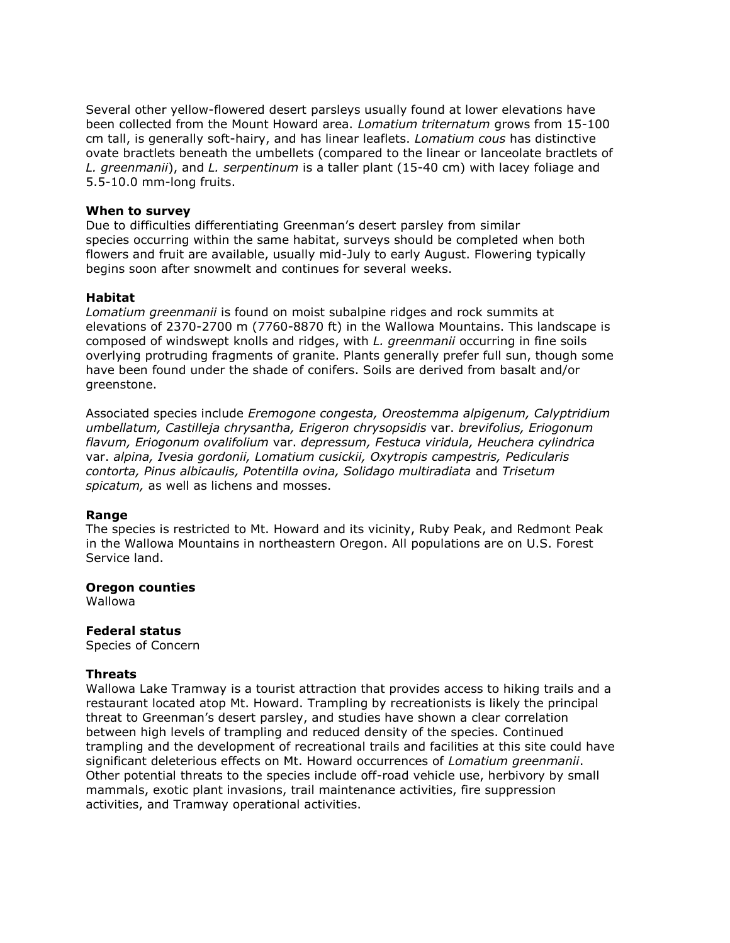Several other yellow-flowered desert parsleys usually found at lower elevations have been collected from the Mount Howard area. *Lomatium triternatum* grows from 15-100 cm tall, is generally soft-hairy, and has linear leaflets. *Lomatium cous* has distinctive ovate bractlets beneath the umbellets (compared to the linear or lanceolate bractlets of *L. greenmanii*), and *L. serpentinum* is a taller plant (15-40 cm) with lacey foliage and 5.5-10.0 mm-long fruits.

#### **When to survey**

Due to difficulties differentiating Greenman's desert parsley from similar species occurring within the same habitat, surveys should be completed when both flowers and fruit are available, usually mid-July to early August. Flowering typically begins soon after snowmelt and continues for several weeks.

#### **Habitat**

*Lomatium greenmanii* is found on moist subalpine ridges and rock summits at elevations of 2370-2700 m (7760-8870 ft) in the Wallowa Mountains. This landscape is composed of windswept knolls and ridges, with *L. greenmanii* occurring in fine soils overlying protruding fragments of granite. Plants generally prefer full sun, though some have been found under the shade of conifers. Soils are derived from basalt and/or greenstone.

Associated species include *Eremogone congesta, Oreostemma alpigenum, Calyptridium umbellatum, Castilleja chrysantha, Erigeron chrysopsidis* var. *brevifolius, Eriogonum flavum, Eriogonum ovalifolium* var. *depressum, Festuca viridula, Heuchera cylindrica* var. *alpina, Ivesia gordonii, Lomatium cusickii, Oxytropis campestris, Pedicularis contorta, Pinus albicaulis, Potentilla ovina, Solidago multiradiata* and *Trisetum spicatum,* as well as lichens and mosses.

#### **Range**

The species is restricted to Mt. Howard and its vicinity, Ruby Peak, and Redmont Peak in the Wallowa Mountains in northeastern Oregon. All populations are on U.S. Forest Service land.

#### **Oregon counties**

Wallowa

## **Federal status**

Species of Concern

## **Threats**

Wallowa Lake Tramway is a tourist attraction that provides access to hiking trails and a restaurant located atop Mt. Howard. Trampling by recreationists is likely the principal threat to Greenman's desert parsley, and studies have shown a clear correlation between high levels of trampling and reduced density of the species. Continued trampling and the development of recreational trails and facilities at this site could have significant deleterious effects on Mt. Howard occurrences of *Lomatium greenmanii*. Other potential threats to the species include off-road vehicle use, herbivory by small mammals, exotic plant invasions, trail maintenance activities, fire suppression activities, and Tramway operational activities.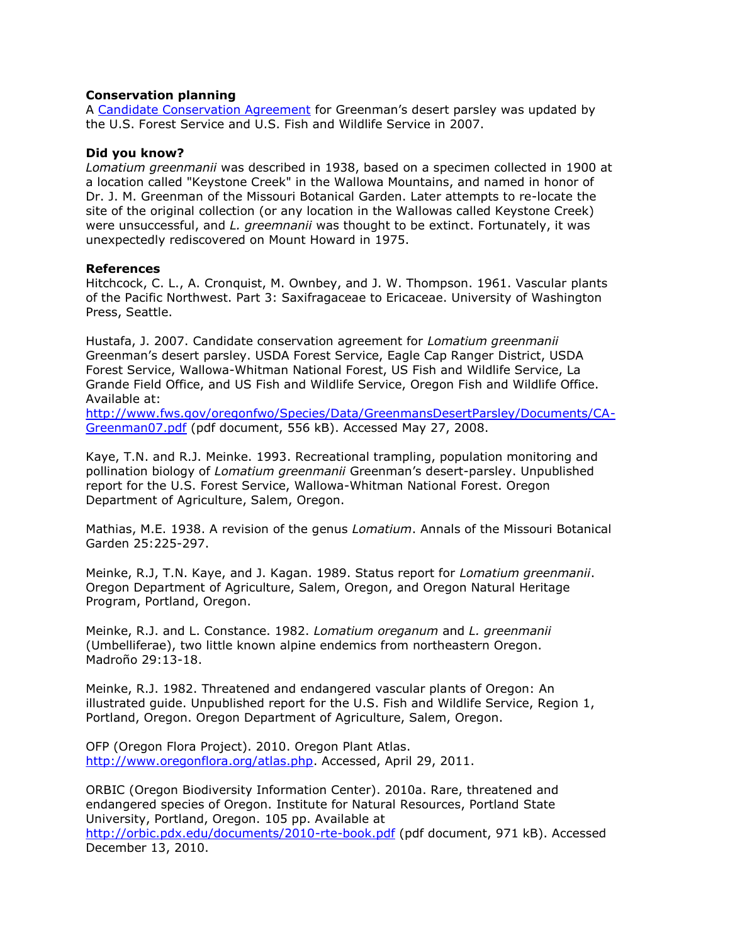#### **Conservation planning**

A [Candidate Conservation Agreement](http://www.fws.gov/oregonfwo/Species/Data/GreenmansDesertParsley/Documents/CA-Greenman07.pdf) for Greenman's desert parsley was updated by the U.S. Forest Service and U.S. Fish and Wildlife Service in 2007.

#### **Did you know?**

*Lomatium greenmanii* was described in 1938, based on a specimen collected in 1900 at a location called "Keystone Creek" in the Wallowa Mountains, and named in honor of Dr. J. M. Greenman of the Missouri Botanical Garden. Later attempts to re-locate the site of the original collection (or any location in the Wallowas called Keystone Creek) were unsuccessful, and *L. greemnanii* was thought to be extinct. Fortunately, it was unexpectedly rediscovered on Mount Howard in 1975.

#### **References**

Hitchcock, C. L., A. Cronquist, M. Ownbey, and J. W. Thompson. 1961. Vascular plants of the Pacific Northwest. Part 3: Saxifragaceae to Ericaceae. University of Washington Press, Seattle.

Hustafa, J. 2007. Candidate conservation agreement for *Lomatium greenmanii* Greenman's desert parsley. USDA Forest Service, Eagle Cap Ranger District, USDA Forest Service, Wallowa-Whitman National Forest, US Fish and Wildlife Service, La Grande Field Office, and US Fish and Wildlife Service, Oregon Fish and Wildlife Office. Available at:

[http://www.fws.gov/oregonfwo/Species/Data/GreenmansDesertParsley/Documents/CA-](http://www.fws.gov/oregonfwo/Species/Data/GreenmansDesertParsley/Documents/CA-Greenman07.pdf)[Greenman07.pdf](http://www.fws.gov/oregonfwo/Species/Data/GreenmansDesertParsley/Documents/CA-Greenman07.pdf) (pdf document, 556 kB). Accessed May 27, 2008.

Kaye, T.N. and R.J. Meinke. 1993. Recreational trampling, population monitoring and pollination biology of *Lomatium greenmanii* Greenman's desert-parsley. Unpublished report for the U.S. Forest Service, Wallowa-Whitman National Forest. Oregon Department of Agriculture, Salem, Oregon.

Mathias, M.E. 1938. A revision of the genus *Lomatium*. Annals of the Missouri Botanical Garden 25:225-297.

Meinke, R.J, T.N. Kaye, and J. Kagan. 1989. Status report for *Lomatium greenmanii*. Oregon Department of Agriculture, Salem, Oregon, and Oregon Natural Heritage Program, Portland, Oregon.

Meinke, R.J. and L. Constance. 1982. *Lomatium oreganum* and *L. greenmanii* (Umbelliferae), two little known alpine endemics from northeastern Oregon. Madroño 29:13-18.

Meinke, R.J. 1982. Threatened and endangered vascular plants of Oregon: An illustrated guide. Unpublished report for the U.S. Fish and Wildlife Service, Region 1, Portland, Oregon. Oregon Department of Agriculture, Salem, Oregon.

OFP (Oregon Flora Project). 2010. Oregon Plant Atlas. [http://www.oregonflora.org/atlas.php.](http://www.oregonflora.org/atlas.php) Accessed, April 29, 2011.

ORBIC (Oregon Biodiversity Information Center). 2010a. Rare, threatened and endangered species of Oregon. Institute for Natural Resources, Portland State University, Portland, Oregon. 105 pp. Available at <http://orbic.pdx.edu/documents/2010-rte-book.pdf> (pdf document, 971 kB). Accessed December 13, 2010.